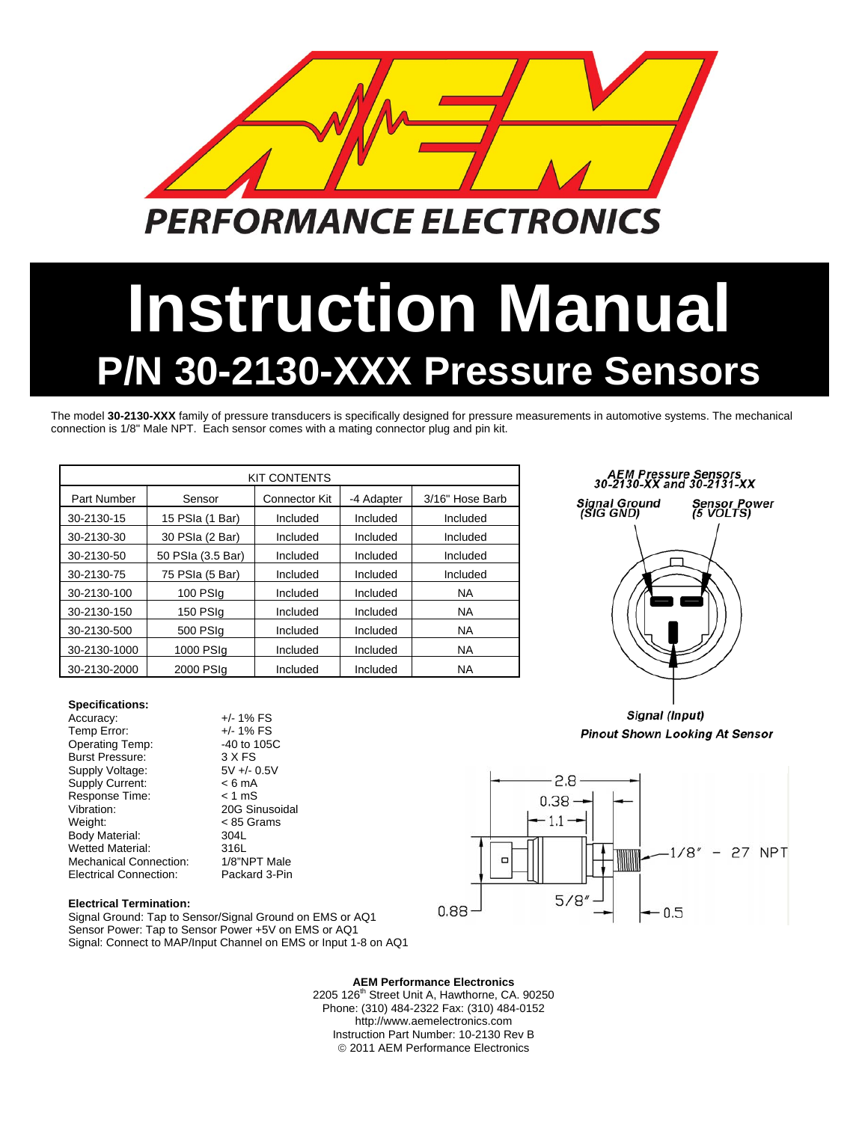

# **Instruction Manual P/N 30-2130-XXX Pressure Sensors**

The model **30-2130-XXX** family of pressure transducers is specifically designed for pressure measurements in automotive systems. The mechanical connection is 1/8" Male NPT. Each sensor comes with a mating connector plug and pin kit.

| <b>KIT CONTENTS</b> |                   |                      |                      |                 |  |  |  |  |  |  |
|---------------------|-------------------|----------------------|----------------------|-----------------|--|--|--|--|--|--|
| <b>Part Number</b>  | Sensor            | <b>Connector Kit</b> | -4 Adapter           | 3/16" Hose Barb |  |  |  |  |  |  |
| 30-2130-15          | 15 PSIa (1 Bar)   | Included             | Included             | Included        |  |  |  |  |  |  |
| 30-2130-30          | 30 PSIa (2 Bar)   | Included             | Included             | Included        |  |  |  |  |  |  |
| 30-2130-50          | 50 PSIa (3.5 Bar) | Included             | Included             | Included        |  |  |  |  |  |  |
| 30-2130-75          | 75 PSIa (5 Bar)   | Included             | Included             | Included        |  |  |  |  |  |  |
| 30-2130-100         | 100 PSIa          | Included             | Included             | <b>NA</b>       |  |  |  |  |  |  |
| 30-2130-150         | 150 PSIg          | Included             | Included             | <b>NA</b>       |  |  |  |  |  |  |
| 30-2130-500         | 500 PSIq          | Included             | Included             | <b>NA</b>       |  |  |  |  |  |  |
| 30-2130-1000        | 1000 PSIg         |                      | Included<br>Included |                 |  |  |  |  |  |  |
| 30-2130-2000        | 2000 PSIg         | Included             | Included             | <b>NA</b>       |  |  |  |  |  |  |

## AEM Pressure Sensors<br>30-2130-XX and 30-2131-XX



Signal (Input) **Pinout Shown Looking At Sensor** 



**Electrical Termination:** 

Mechanical Connection:

**Specifications:** 

Supply Voltage:

Temp Error:

Accuracy:  $+/- 1\%$  FS<br>Temp Error:  $+/- 1\%$  FS

Operating Temp: 3 40 to 105C<br>Burst Pressure: 3 X FS Burst Pressure: 3 X FS<br>Supply Voltage: 5V +/- 0.5V

Electrical Connection: Packard 3-Pin

Supply Current: < 6 mA Response Time: < 1 mS Vibration: 20G Sinusoidal Weight: < 85 Grams Body Material: 304L<br>Wetted Material: 316L Wetted Material: 316L<br>Mechanical Connection: 1/8"NPT Male

Signal Ground: Tap to Sensor/Signal Ground on EMS or AQ1 Sensor Power: Tap to Sensor Power +5V on EMS or AQ1 Signal: Connect to MAP/Input Channel on EMS or Input 1-8 on AQ1

**AEM Performance Electronics** 

2205 126<sup>th</sup> Street Unit A, Hawthorne, CA. 90250 Phone: (310) 484-2322 Fax: (310) 484-0152 http://www.aemelectronics.com Instruction Part Number: 10-2130 Rev B © 2011 AEM Performance Electronics